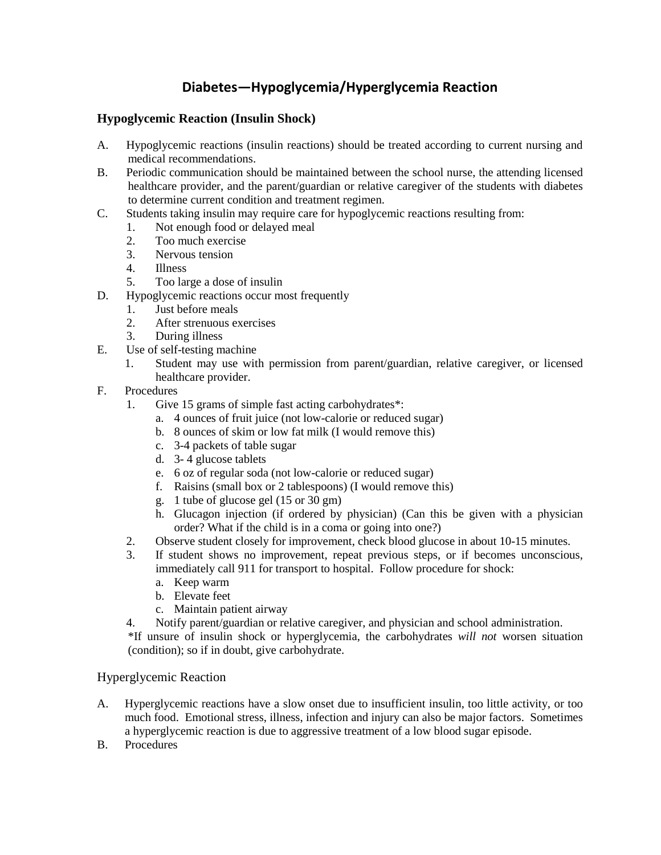## **Diabetes—Hypoglycemia/Hyperglycemia Reaction**

### **Hypoglycemic Reaction (Insulin Shock)**

- A. Hypoglycemic reactions (insulin reactions) should be treated according to current nursing and medical recommendations.
- B. Periodic communication should be maintained between the school nurse, the attending licensed healthcare provider, and the parent/guardian or relative caregiver of the students with diabetes to determine current condition and treatment regimen.
- C. Students taking insulin may require care for hypoglycemic reactions resulting from:
	- 1. Not enough food or delayed meal
		- 2. Too much exercise
		- 3. Nervous tension
		- 4. Illness
		- 5. Too large a dose of insulin
- D. Hypoglycemic reactions occur most frequently
	- 1. Just before meals
	- 2. After strenuous exercises
	- 3. During illness
- E. Use of self-testing machine
	- 1. Student may use with permission from parent/guardian, relative caregiver, or licensed healthcare provider.
- F. Procedures
	- 1. Give 15 grams of simple fast acting carbohydrates\*:
		- a. 4 ounces of fruit juice (not low-calorie or reduced sugar)
		- b. 8 ounces of skim or low fat milk (I would remove this)
		- c. 3-4 packets of table sugar
		- d. 3- 4 glucose tablets
		- e. 6 oz of regular soda (not low-calorie or reduced sugar)
		- f. Raisins (small box or 2 tablespoons) (I would remove this)
		- g. 1 tube of glucose gel (15 or 30 gm)
		- h. Glucagon injection (if ordered by physician) (Can this be given with a physician order? What if the child is in a coma or going into one?)
	- 2. Observe student closely for improvement, check blood glucose in about 10-15 minutes.
	- 3. If student shows no improvement, repeat previous steps, or if becomes unconscious, immediately call 911 for transport to hospital. Follow procedure for shock:
		- a. Keep warm
		- b. Elevate feet
		- c. Maintain patient airway
	- 4. Notify parent/guardian or relative caregiver, and physician and school administration.

\*If unsure of insulin shock or hyperglycemia, the carbohydrates *will not* worsen situation (condition); so if in doubt, give carbohydrate.

#### Hyperglycemic Reaction

- A. Hyperglycemic reactions have a slow onset due to insufficient insulin, too little activity, or too much food. Emotional stress, illness, infection and injury can also be major factors. Sometimes a hyperglycemic reaction is due to aggressive treatment of a low blood sugar episode.
- B. Procedures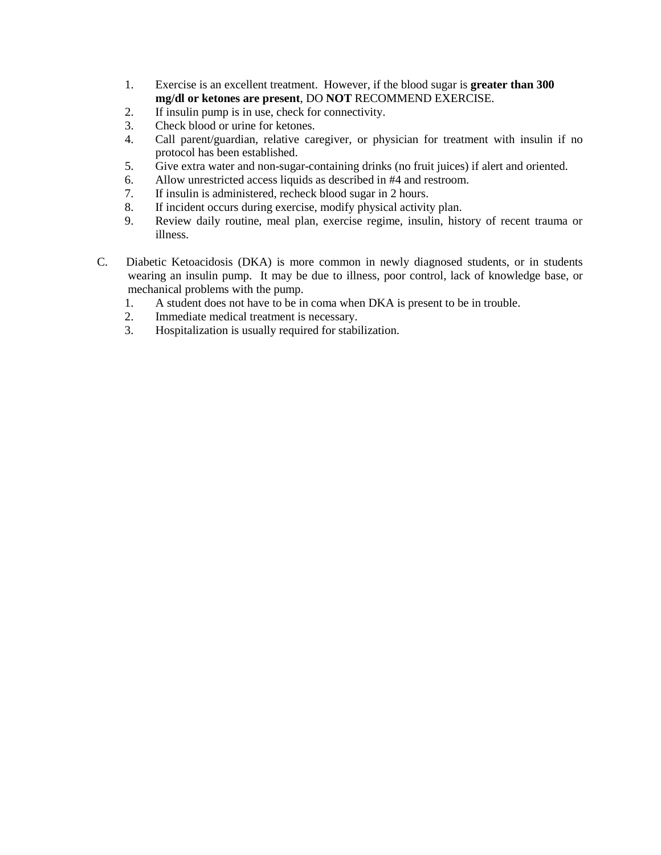- 1. Exercise is an excellent treatment. However, if the blood sugar is **greater than 300 mg/dl or ketones are present**, DO **NOT** RECOMMEND EXERCISE.
- 2. If insulin pump is in use, check for connectivity.
- 3. Check blood or urine for ketones.
- 4. Call parent/guardian, relative caregiver, or physician for treatment with insulin if no protocol has been established.
- 5. Give extra water and non-sugar-containing drinks (no fruit juices) if alert and oriented.
- 6. Allow unrestricted access liquids as described in #4 and restroom.
- 7. If insulin is administered, recheck blood sugar in 2 hours.
- 8. If incident occurs during exercise, modify physical activity plan.
- 9. Review daily routine, meal plan, exercise regime, insulin, history of recent trauma or illness.
- C. Diabetic Ketoacidosis (DKA) is more common in newly diagnosed students, or in students wearing an insulin pump. It may be due to illness, poor control, lack of knowledge base, or mechanical problems with the pump.
	- 1. A student does not have to be in coma when DKA is present to be in trouble.
	- 2. Immediate medical treatment is necessary.
	- 3. Hospitalization is usually required for stabilization.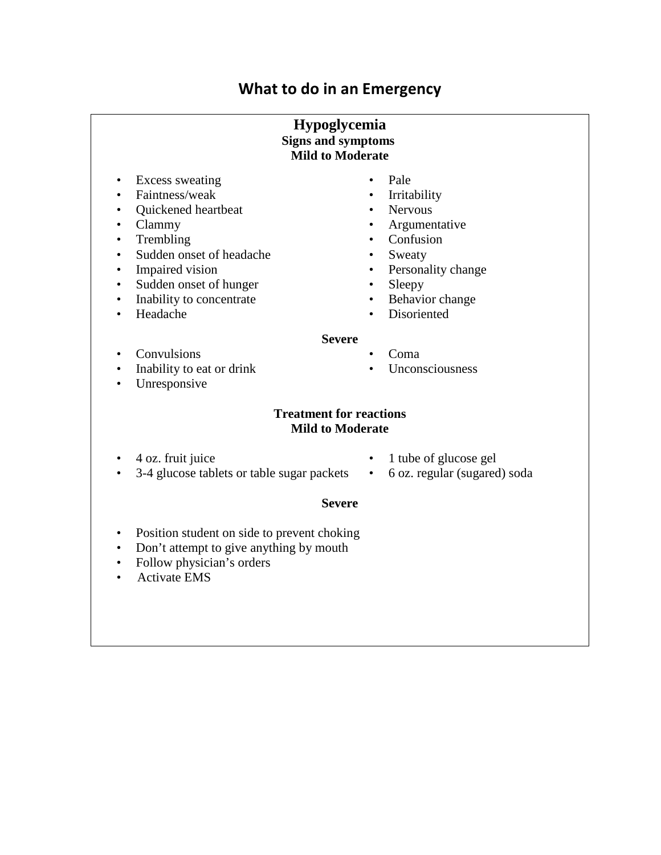# **What to do in an Emergency**

### **Hypoglycemia Signs and symptoms Mild to Moderate**

- Excess sweating Pale<br>• Faintness/weak Irritability
- Faintness/weak Irritability in the set of  $\bullet$
- Ouickened heartbeat Nervous
- 
- $\bullet$  Trembling
- Sudden onset of headache Sweaty
- 
- Sudden onset of hunger Sleepy<br>• Inability to concentrate Behavior change
- Inability to concentrate
- 
- 
- 
- 
- Clammy Argumentative<br>• Trembling Confusion
	-
	-
- Impaired vision Personality change
	-
	-
- Headache Disoriented

### **Severe**

- 
- Convulsions Coma<br>• Inability to eat or drink Unconsciousness
- Inability to eat or drink • Unresponsive

## **Treatment for reactions Mild to Moderate**

- 
- 3-4 glucose tablets or table sugar packets 6 oz. regular (sugared) soda
- 4 oz. fruit juice 1 tube of glucose gel
	-

## **Severe**

- Position student on side to prevent choking
- Don't attempt to give anything by mouth
- Follow physician's orders
- Activate EMS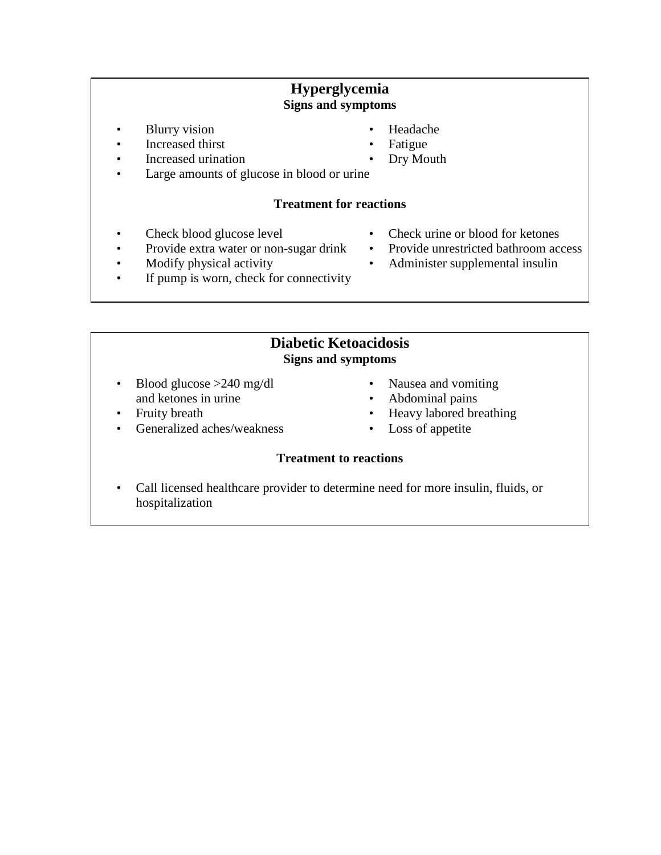## **Hyperglycemia Signs and symptoms**

- Blurry vision Headache
- Increased thirst Fatigue
- Increased urination Dry Mouth
- Large amounts of glucose in blood or urine

## **Treatment for reactions**

- 
- Provide extra water or non-sugar drink Provide unrestricted bathroom access
- 
- Check blood glucose level Check urine or blood for ketones
	-
- Modify physical activity Administer supplemental insulin
- If pump is worn, check for connectivity
	- **Diabetic Ketoacidosis**

## **Signs and symptoms**

- Blood glucose >240 mg/dl Nausea and vomiting and ketones in urine • Abdominal pains
- 
- Generalized aches/weakness  $\bullet$
- 
- 
- Fruity breath Heavy labored breathing<br>• Generalized aches/weakness Loss of appetite
	-

## **Treatment to reactions**

 • Call licensed healthcare provider to determine need for more insulin, fluids, or hospitalization